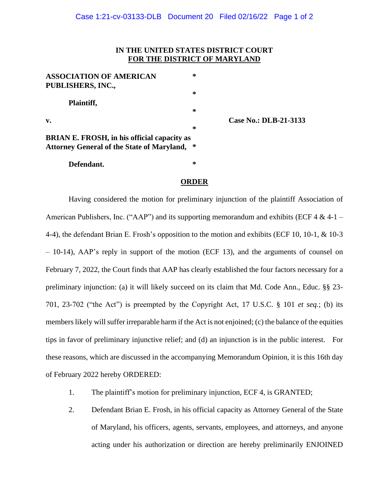## **IN THE UNITED STATES DISTRICT COURT FOR THE DISTRICT OF MARYLAND**

| <b>ASSOCIATION OF AMERICAN</b>                                                                          | ∗      |
|---------------------------------------------------------------------------------------------------------|--------|
| PUBLISHERS, INC.,                                                                                       |        |
| Plaintiff,                                                                                              | ∗<br>∗ |
| $\mathbf{v}$ .                                                                                          | ∗      |
| <b>BRIAN E. FROSH, in his official capacity as</b><br><b>Attorney General of the State of Maryland,</b> | ∗      |
| Defendant.                                                                                              | ∗      |

**v. Case No.: DLB-21-3133**

## **ORDER**

Having considered the motion for preliminary injunction of the plaintiff Association of American Publishers, Inc. ("AAP") and its supporting memorandum and exhibits (ECF 4  $\&$  4-1 – 4-4), the defendant Brian E. Frosh's opposition to the motion and exhibits (ECF 10, 10-1, & 10-3 – 10-14), AAP's reply in support of the motion (ECF 13), and the arguments of counsel on February 7, 2022, the Court finds that AAP has clearly established the four factors necessary for a preliminary injunction: (a) it will likely succeed on its claim that Md. Code Ann., Educ. §§ 23- 701, 23-702 ("the Act") is preempted by the Copyright Act, 17 U.S.C. § 101 *et seq.*; (b) its members likely will suffer irreparable harm if the Act is not enjoined; (c) the balance of the equities tips in favor of preliminary injunctive relief; and (d) an injunction is in the public interest. For these reasons, which are discussed in the accompanying Memorandum Opinion, it is this 16th day of February 2022 hereby ORDERED:

- 1. The plaintiff's motion for preliminary injunction, ECF 4, is GRANTED;
- 2. Defendant Brian E. Frosh, in his official capacity as Attorney General of the State of Maryland, his officers, agents, servants, employees, and attorneys, and anyone acting under his authorization or direction are hereby preliminarily ENJOINED